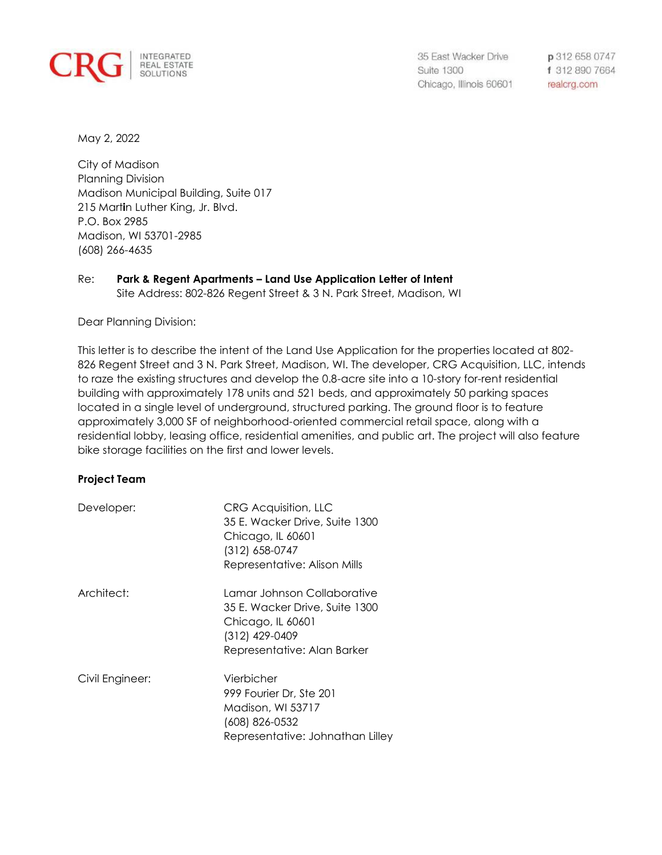

35 East Wacker Drive **Suite 1300** Chicago, Illinois 60601

p 312 658 0747 f 312 890 7664 realcrg.com

May 2, 2022

City of Madison Planning Division Madison Municipal Building, Suite 017 215 Mart**i**n Luther King, Jr. Blvd. P.O. Box 2985 Madison, WI 53701-2985 (608) 266-4635

# Re: **Park & Regent Apartments – Land Use Application Letter of Intent** Site Address: 802-826 Regent Street & 3 N. Park Street, Madison, WI

Dear Planning Division:

This letter is to describe the intent of the Land Use Application for the properties located at 802- 826 Regent Street and 3 N. Park Street, Madison, WI. The developer, CRG Acquisition, LLC, intends to raze the existing structures and develop the 0.8-acre site into a 10-story for-rent residential building with approximately 178 units and 521 beds, and approximately 50 parking spaces located in a single level of underground, structured parking. The ground floor is to feature approximately 3,000 SF of neighborhood-oriented commercial retail space, along with a residential lobby, leasing office, residential amenities, and public art. The project will also feature bike storage facilities on the first and lower levels.

# **Project Team**

| Developer:      | <b>CRG Acquisition, LLC</b><br>35 E. Wacker Drive, Suite 1300<br>Chicago, IL 60601<br>$(312)$ 658-0747<br>Representative: Alison Mills |
|-----------------|----------------------------------------------------------------------------------------------------------------------------------------|
| Architect:      | Lamar Johnson Collaborative<br>35 E. Wacker Drive, Suite 1300<br>Chicago, IL 60601<br>(312) 429-0409<br>Representative: Alan Barker    |
| Civil Engineer: | Vierbicher<br>999 Fourier Dr. Ste 201<br>Madison, WI 53717<br>(608) 826-0532<br>Representative: Johnathan Lilley                       |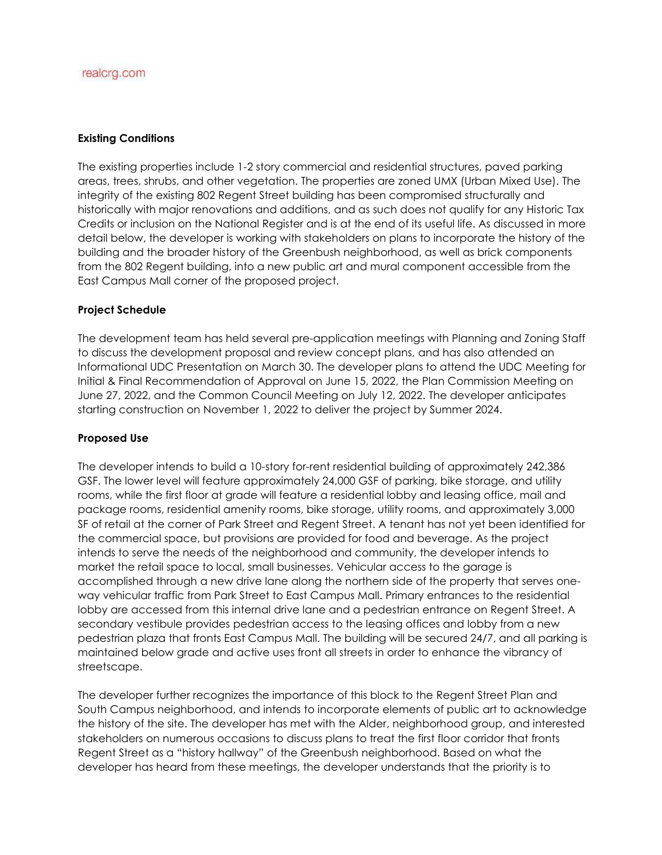## **Existing Conditions**

The existing properties include 1-2 story commercial and residential structures, paved parking areas, trees, shrubs, and other vegetation. The properties are zoned UMX (Urban Mixed Use). The integrity of the existing 802 Regent Street building has been compromised structurally and historically with major renovations and additions, and as such does not qualify for any Historic Tax Credits or inclusion on the National Register and is at the end of its useful life. As discussed in more detail below, the developer is working with stakeholders on plans to incorporate the history of the building and the broader history of the Greenbush neighborhood, as well as brick components from the 802 Regent building, into a new public art and mural component accessible from the East Campus Mall corner of the proposed project.

## **Project Schedule**

The development team has held several pre-application meetings with Planning and Zoning Staff to discuss the development proposal and review concept plans, and has also attended an Informational UDC Presentation on March 30. The developer plans to attend the UDC Meeting for Initial & Final Recommendation of Approval on June 15, 2022, the Plan Commission Meeting on June 27, 2022, and the Common Council Meeting on July 12, 2022. The developer anticipates starting construction on November 1, 2022 to deliver the project by Summer 2024.

## **Proposed Use**

The developer intends to build a 10-story for-rent residential building of approximately 242,386 GSF. The lower level will feature approximately 24,000 GSF of parking, bike storage, and utility rooms, while the first floor at grade will feature a residential lobby and leasing office, mail and package rooms, residential amenity rooms, bike storage, utility rooms, and approximately 3,000 SF of retail at the corner of Park Street and Regent Street. A tenant has not yet been identified for the commercial space, but provisions are provided for food and beverage. As the project intends to serve the needs of the neighborhood and community, the developer intends to market the retail space to local, small businesses. Vehicular access to the garage is accomplished through a new drive lane along the northern side of the property that serves oneway vehicular traffic from Park Street to East Campus Mall. Primary entrances to the residential lobby are accessed from this internal drive lane and a pedestrian entrance on Regent Street. A secondary vestibule provides pedestrian access to the leasing offices and lobby from a new pedestrian plaza that fronts East Campus Mall. The building will be secured 24/7, and all parking is maintained below grade and active uses front all streets in order to enhance the vibrancy of streetscape.

The developer further recognizes the importance of this block to the Regent Street Plan and South Campus neighborhood, and intends to incorporate elements of public art to acknowledge the history of the site. The developer has met with the Alder, neighborhood group, and interested stakeholders on numerous occasions to discuss plans to treat the first floor corridor that fronts Regent Street as a "history hallway" of the Greenbush neighborhood. Based on what the developer has heard from these meetings, the developer understands that the priority is to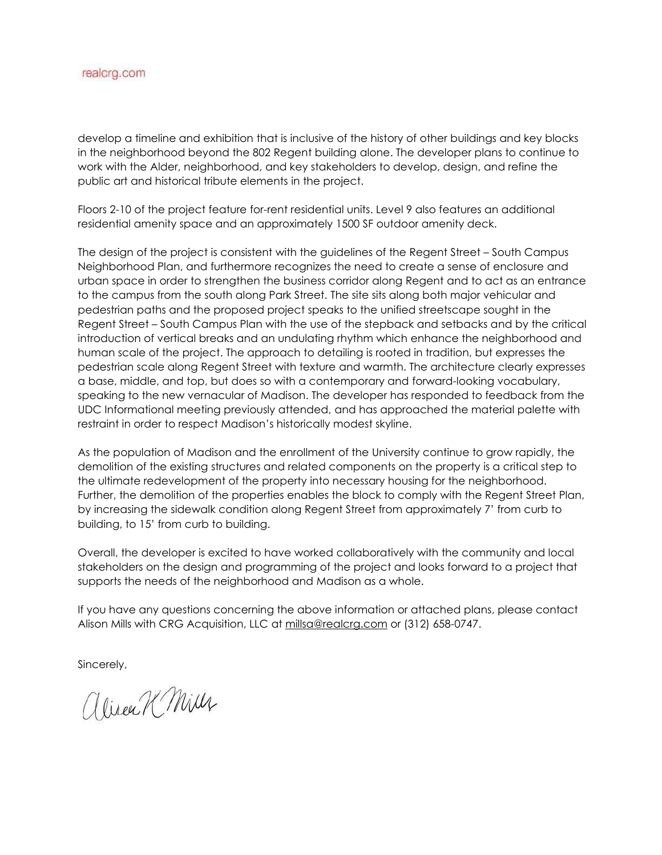develop a timeline and exhibition that is inclusive of the history of other buildings and key blocks in the neighborhood beyond the 802 Regent building alone. The developer plans to continue to work with the Alder, neighborhood, and key stakeholders to develop, design, and refine the public art and historical tribute elements in the project.

Floors 2-10 of the project feature for-rent residential units. Level 9 also features an additional residential amenity space and an approximately 1500 SF outdoor amenity deck.

The design of the project is consistent with the guidelines of the Regent Street – South Campus Neighborhood Plan, and furthermore recognizes the need to create a sense of enclosure and urban space in order to strengthen the business corridor along Regent and to act as an entrance to the campus from the south along Park Street. The site sits along both major vehicular and pedestrian paths and the proposed project speaks to the unified streetscape sought in the Regent Street – South Campus Plan with the use of the stepback and setbacks and by the critical introduction of vertical breaks and an undulating rhythm which enhance the neighborhood and human scale of the project. The approach to detailing is rooted in tradition, but expresses the pedestrian scale along Regent Street with texture and warmth. The architecture clearly expresses a base, middle, and top, but does so with a contemporary and forward-looking vocabulary, speaking to the new vernacular of Madison. The developer has responded to feedback from the UDC Informational meeting previously attended, and has approached the material palette with restraint in order to respect Madison's historically modest skyline.

As the population of Madison and the enrollment of the University continue to grow rapidly, the demolition of the existing structures and related components on the property is a critical step to the ultimate redevelopment of the property into necessary housing for the neighborhood. Further, the demolition of the properties enables the block to comply with the Regent Street Plan, by increasing the sidewalk condition along Regent Street from approximately 7' from curb to building, to 15' from curb to building.

Overall, the developer is excited to have worked collaboratively with the community and local stakeholders on the design and programming of the project and looks forward to a project that supports the needs of the neighborhood and Madison as a whole.

If you have any questions concerning the above information or attached plans, please contact Alison Mills with CRG Acquisition, LLC at millsa@realcrg.com or (312) 658-0747.

Sincerely,

alizen K Mill